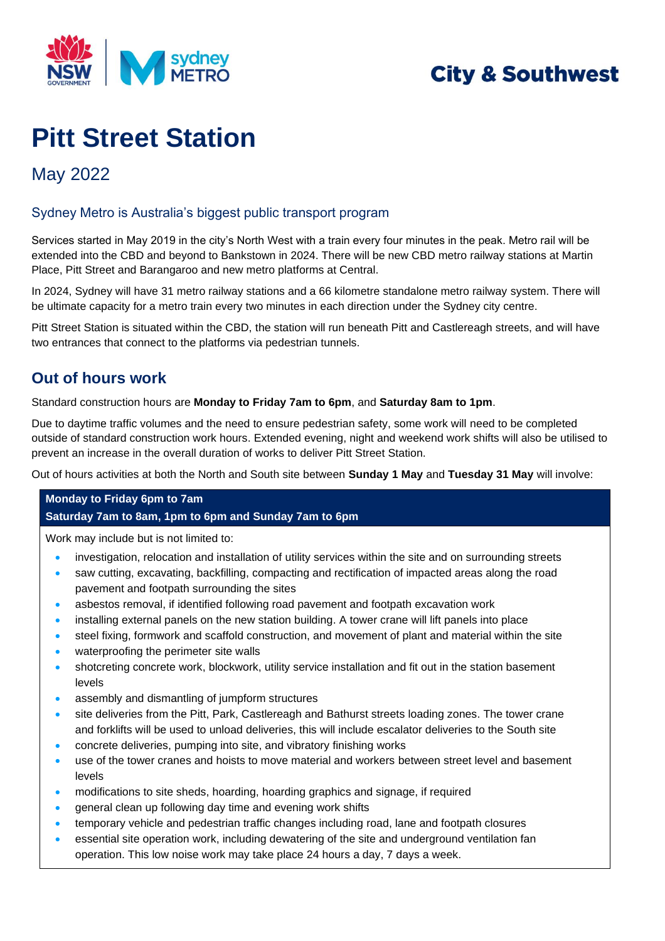

## **City & Southwest**

# **Pitt Street Station**

### May 2022

#### Sydney Metro is Australia's biggest public transport program

Services started in May 2019 in the city's North West with a train every four minutes in the peak. Metro rail will be extended into the CBD and beyond to Bankstown in 2024. There will be new CBD metro railway stations at Martin Place, Pitt Street and Barangaroo and new metro platforms at Central.

In 2024, Sydney will have 31 metro railway stations and a 66 kilometre standalone metro railway system. There will be ultimate capacity for a metro train every two minutes in each direction under the Sydney city centre.

Pitt Street Station is situated within the CBD, the station will run beneath Pitt and Castlereagh streets, and will have two entrances that connect to the platforms via pedestrian tunnels.

#### **Out of hours work**

Standard construction hours are **Monday to Friday 7am to 6pm**, and **Saturday 8am to 1pm**.

Due to daytime traffic volumes and the need to ensure pedestrian safety, some work will need to be completed outside of standard construction work hours. Extended evening, night and weekend work shifts will also be utilised to prevent an increase in the overall duration of works to deliver Pitt Street Station.

Out of hours activities at both the North and South site between **Sunday 1 May** and **Tuesday 31 May** will involve:

#### **Monday to Friday 6pm to 7am Saturday 7am to 8am, 1pm to 6pm and Sunday 7am to 6pm**

Work may include but is not limited to:

- investigation, relocation and installation of utility services within the site and on surrounding streets
- saw cutting, excavating, backfilling, compacting and rectification of impacted areas along the road pavement and footpath surrounding the sites
- asbestos removal, if identified following road pavement and footpath excavation work
- installing external panels on the new station building. A tower crane will lift panels into place
- steel fixing, formwork and scaffold construction, and movement of plant and material within the site
- waterproofing the perimeter site walls
- shotcreting concrete work, blockwork, utility service installation and fit out in the station basement levels
- assembly and dismantling of jumpform structures
- site deliveries from the Pitt, Park, Castlereagh and Bathurst streets loading zones. The tower crane and forklifts will be used to unload deliveries, this will include escalator deliveries to the South site
- concrete deliveries, pumping into site, and vibratory finishing works
- use of the tower cranes and hoists to move material and workers between street level and basement levels
- modifications to site sheds, hoarding, hoarding graphics and signage, if required
- general clean up following day time and evening work shifts
- temporary vehicle and pedestrian traffic changes including road, lane and footpath closures
- essential site operation work, including dewatering of the site and underground ventilation fan operation. This low noise work may take place 24 hours a day, 7 days a week.